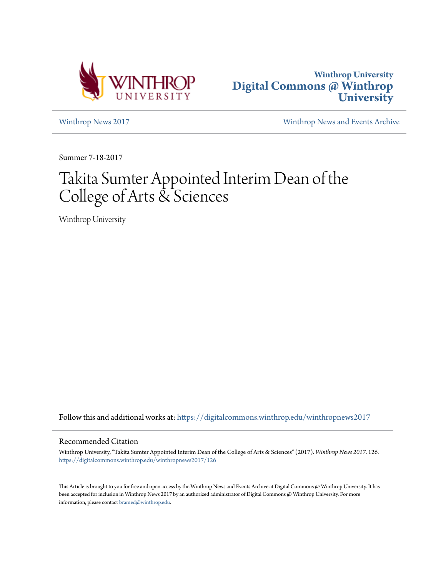



[Winthrop News 2017](https://digitalcommons.winthrop.edu/winthropnews2017?utm_source=digitalcommons.winthrop.edu%2Fwinthropnews2017%2F126&utm_medium=PDF&utm_campaign=PDFCoverPages) [Winthrop News and Events Archive](https://digitalcommons.winthrop.edu/winthropnewsarchives?utm_source=digitalcommons.winthrop.edu%2Fwinthropnews2017%2F126&utm_medium=PDF&utm_campaign=PDFCoverPages)

Summer 7-18-2017

# Takita Sumter Appointed Interim Dean of the College of Arts & Sciences

Winthrop University

Follow this and additional works at: [https://digitalcommons.winthrop.edu/winthropnews2017](https://digitalcommons.winthrop.edu/winthropnews2017?utm_source=digitalcommons.winthrop.edu%2Fwinthropnews2017%2F126&utm_medium=PDF&utm_campaign=PDFCoverPages)

## Recommended Citation

Winthrop University, "Takita Sumter Appointed Interim Dean of the College of Arts & Sciences" (2017). *Winthrop News 2017*. 126. [https://digitalcommons.winthrop.edu/winthropnews2017/126](https://digitalcommons.winthrop.edu/winthropnews2017/126?utm_source=digitalcommons.winthrop.edu%2Fwinthropnews2017%2F126&utm_medium=PDF&utm_campaign=PDFCoverPages)

This Article is brought to you for free and open access by the Winthrop News and Events Archive at Digital Commons @ Winthrop University. It has been accepted for inclusion in Winthrop News 2017 by an authorized administrator of Digital Commons @ Winthrop University. For more information, please contact [bramed@winthrop.edu](mailto:bramed@winthrop.edu).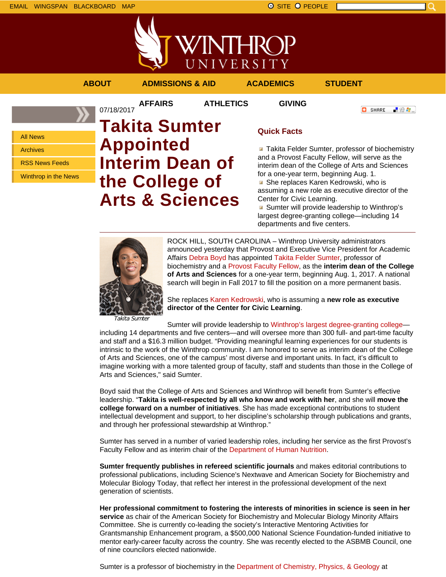



**AFFAIRS ATHLETICS GIVING**

**ABOUT ADMISSIONS & AID ACADEMICS STUDENT**

**O** SHARE

上没身。

All News Archives

RSS News Feeds

Winthrop in the News

## 07/18/2017 **Takita Sumter Appointed Interim Dean of the College of Arts & Sciences**

## **Quick Facts**

**Takita Felder Sumter, professor of biochemistry** and a Provost Faculty Fellow, will serve as the interim dean of the College of Arts and Sciences for a one-year term, beginning Aug. 1. **B** She replaces Karen Kedrowski, who is

assuming a new role as executive director of the Center for Civic Learning.

Sumter will provide leadership to Winthrop's largest degree-granting college—including 14 departments and five centers.



ROCK HILL, SOUTH CAROLINA – Winthrop University administrators announced yesterday that Provost and Executive Vice President for Academic Affairs Debra Boyd has appointed Takita Felder Sumter, professor of biochemistry and a Provost Faculty Fellow, as the **interim dean of the College of Arts and Sciences** for a one-year term, beginning Aug. 1, 2017. A national search will begin in Fall 2017 to fill the position on a more permanent basis.

She replaces Karen Kedrowski, who is assuming a **new role as executive director of the Center for Civic Learning**.

Takita Sumter

Sumter will provide leadership to Winthrop's largest degree-granting collegeincluding 14 departments and five centers—and will oversee more than 300 full- and part-time faculty and staff and a \$16.3 million budget. "Providing meaningful learning experiences for our students is intrinsic to the work of the Winthrop community. I am honored to serve as interim dean of the College of Arts and Sciences, one of the campus' most diverse and important units. In fact, it's difficult to imagine working with a more talented group of faculty, staff and students than those in the College of Arts and Sciences," said Sumter.

Boyd said that the College of Arts and Sciences and Winthrop will benefit from Sumter's effective leadership. "**Takita is well-respected by all who know and work with her**, and she will **move the college forward on a number of initiatives**. She has made exceptional contributions to student intellectual development and support, to her discipline's scholarship through publications and grants, and through her professional stewardship at Winthrop."

Sumter has served in a number of varied leadership roles, including her service as the first Provost's Faculty Fellow and as interim chair of the Department of Human Nutrition.

**Sumter frequently publishes in refereed scientific journals** and makes editorial contributions to professional publications, including Science's Nextwave and American Society for Biochemistry and Molecular Biology Today, that reflect her interest in the professional development of the next generation of scientists.

**Her professional commitment to fostering the interests of minorities in science is seen in her service** as chair of the American Society for Biochemistry and Molecular Biology Minority Affairs Committee. She is currently co-leading the society's Interactive Mentoring Activities for Grantsmanship Enhancement program, a \$500,000 National Science Foundation-funded initiative to mentor early-career faculty across the country. She was recently elected to the ASBMB Council, one of nine councilors elected nationwide.

Sumter is a professor of biochemistry in the Department of Chemistry, Physics, & Geology at